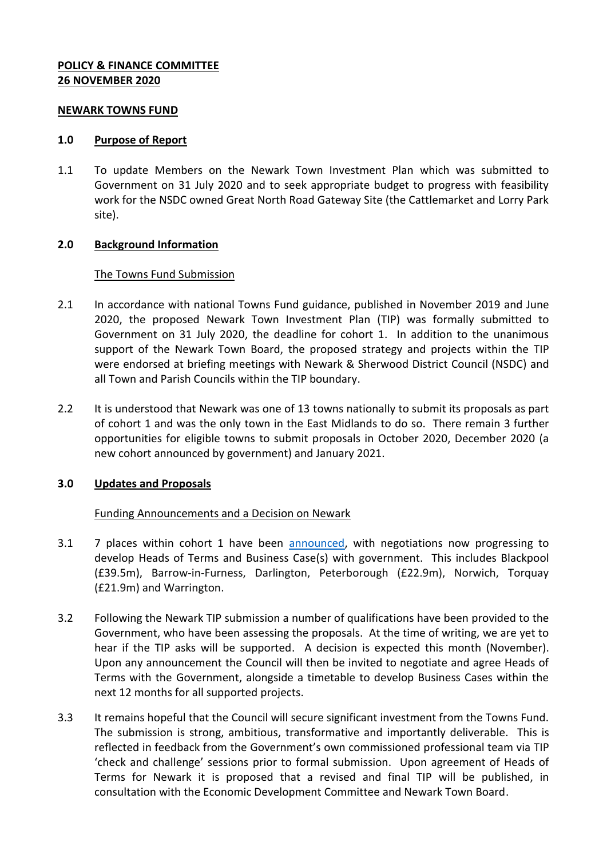## **POLICY & FINANCE COMMITTEE 26 NOVEMBER 2020**

#### **NEWARK TOWNS FUND**

#### **1.0 Purpose of Report**

1.1 To update Members on the Newark Town Investment Plan which was submitted to Government on 31 July 2020 and to seek appropriate budget to progress with feasibility work for the NSDC owned Great North Road Gateway Site (the Cattlemarket and Lorry Park site).

#### **2.0 Background Information**

#### The Towns Fund Submission

- 2.1 In accordance with national Towns Fund guidance, published in November 2019 and June 2020, the proposed Newark Town Investment Plan (TIP) was formally submitted to Government on 31 July 2020, the deadline for cohort 1. In addition to the unanimous support of the Newark Town Board, the proposed strategy and projects within the TIP were endorsed at briefing meetings with Newark & Sherwood District Council (NSDC) and all Town and Parish Councils within the TIP boundary.
- 2.2 It is understood that Newark was one of 13 towns nationally to submit its proposals as part of cohort 1 and was the only town in the East Midlands to do so. There remain 3 further opportunities for eligible towns to submit proposals in October 2020, December 2020 (a new cohort announced by government) and January 2021.

#### **3.0 Updates and Proposals**

#### Funding Announcements and a Decision on Newark

- 3.1 7 places within cohort 1 have been [announced,](https://www.gov.uk/government/news/first-town-deals-worth-almost-180-million-announced) with negotiations now progressing to develop Heads of Terms and Business Case(s) with government. This includes Blackpool (£39.5m), Barrow-in-Furness, Darlington, Peterborough (£22.9m), Norwich, Torquay (£21.9m) and Warrington.
- 3.2 Following the Newark TIP submission a number of qualifications have been provided to the Government, who have been assessing the proposals. At the time of writing, we are yet to hear if the TIP asks will be supported. A decision is expected this month (November). Upon any announcement the Council will then be invited to negotiate and agree Heads of Terms with the Government, alongside a timetable to develop Business Cases within the next 12 months for all supported projects.
- 3.3 It remains hopeful that the Council will secure significant investment from the Towns Fund. The submission is strong, ambitious, transformative and importantly deliverable. This is reflected in feedback from the Government's own commissioned professional team via TIP 'check and challenge' sessions prior to formal submission. Upon agreement of Heads of Terms for Newark it is proposed that a revised and final TIP will be published, in consultation with the Economic Development Committee and Newark Town Board.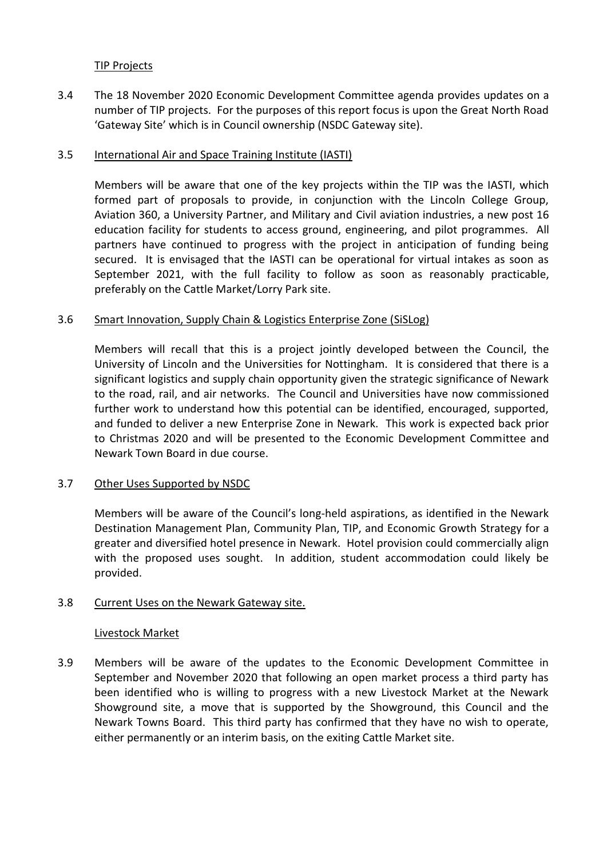## TIP Projects

3.4 The 18 November 2020 Economic Development Committee agenda provides updates on a number of TIP projects. For the purposes of this report focus is upon the Great North Road 'Gateway Site' which is in Council ownership (NSDC Gateway site).

## 3.5 International Air and Space Training Institute (IASTI)

Members will be aware that one of the key projects within the TIP was the IASTI, which formed part of proposals to provide, in conjunction with the Lincoln College Group, Aviation 360, a University Partner, and Military and Civil aviation industries, a new post 16 education facility for students to access ground, engineering, and pilot programmes. All partners have continued to progress with the project in anticipation of funding being secured. It is envisaged that the IASTI can be operational for virtual intakes as soon as September 2021, with the full facility to follow as soon as reasonably practicable, preferably on the Cattle Market/Lorry Park site.

# 3.6 Smart Innovation, Supply Chain & Logistics Enterprise Zone (SiSLog)

Members will recall that this is a project jointly developed between the Council, the University of Lincoln and the Universities for Nottingham. It is considered that there is a significant logistics and supply chain opportunity given the strategic significance of Newark to the road, rail, and air networks. The Council and Universities have now commissioned further work to understand how this potential can be identified, encouraged, supported, and funded to deliver a new Enterprise Zone in Newark. This work is expected back prior to Christmas 2020 and will be presented to the Economic Development Committee and Newark Town Board in due course.

#### 3.7 Other Uses Supported by NSDC

Members will be aware of the Council's long-held aspirations, as identified in the Newark Destination Management Plan, Community Plan, TIP, and Economic Growth Strategy for a greater and diversified hotel presence in Newark. Hotel provision could commercially align with the proposed uses sought. In addition, student accommodation could likely be provided.

# 3.8 Current Uses on the Newark Gateway site.

#### Livestock Market

3.9 Members will be aware of the updates to the Economic Development Committee in September and November 2020 that following an open market process a third party has been identified who is willing to progress with a new Livestock Market at the Newark Showground site, a move that is supported by the Showground, this Council and the Newark Towns Board. This third party has confirmed that they have no wish to operate, either permanently or an interim basis, on the exiting Cattle Market site.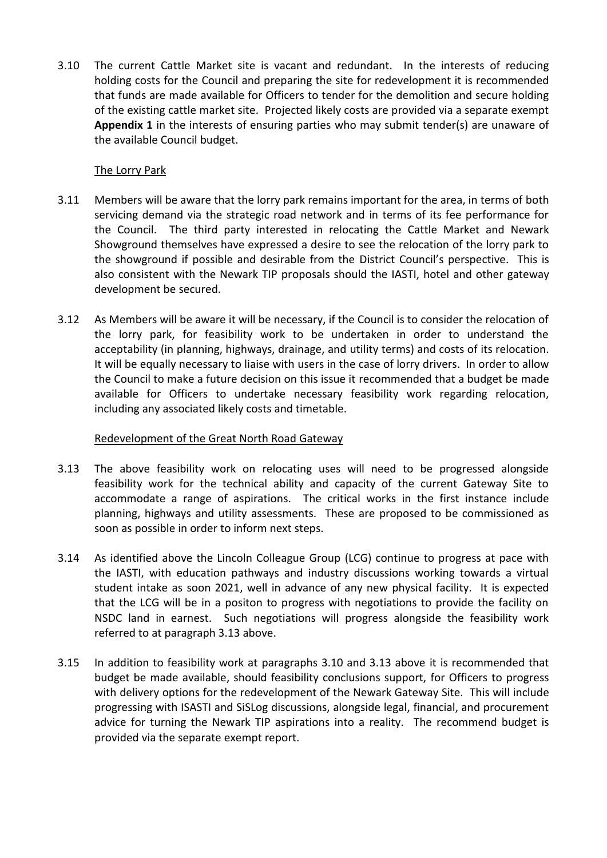3.10 The current Cattle Market site is vacant and redundant. In the interests of reducing holding costs for the Council and preparing the site for redevelopment it is recommended that funds are made available for Officers to tender for the demolition and secure holding of the existing cattle market site. Projected likely costs are provided via a separate exempt **Appendix 1** in the interests of ensuring parties who may submit tender(s) are unaware of the available Council budget.

# The Lorry Park

- 3.11 Members will be aware that the lorry park remains important for the area, in terms of both servicing demand via the strategic road network and in terms of its fee performance for the Council. The third party interested in relocating the Cattle Market and Newark Showground themselves have expressed a desire to see the relocation of the lorry park to the showground if possible and desirable from the District Council's perspective. This is also consistent with the Newark TIP proposals should the IASTI, hotel and other gateway development be secured.
- 3.12 As Members will be aware it will be necessary, if the Council is to consider the relocation of the lorry park, for feasibility work to be undertaken in order to understand the acceptability (in planning, highways, drainage, and utility terms) and costs of its relocation. It will be equally necessary to liaise with users in the case of lorry drivers. In order to allow the Council to make a future decision on this issue it recommended that a budget be made available for Officers to undertake necessary feasibility work regarding relocation, including any associated likely costs and timetable.

# Redevelopment of the Great North Road Gateway

- 3.13 The above feasibility work on relocating uses will need to be progressed alongside feasibility work for the technical ability and capacity of the current Gateway Site to accommodate a range of aspirations. The critical works in the first instance include planning, highways and utility assessments. These are proposed to be commissioned as soon as possible in order to inform next steps.
- 3.14 As identified above the Lincoln Colleague Group (LCG) continue to progress at pace with the IASTI, with education pathways and industry discussions working towards a virtual student intake as soon 2021, well in advance of any new physical facility. It is expected that the LCG will be in a positon to progress with negotiations to provide the facility on NSDC land in earnest. Such negotiations will progress alongside the feasibility work referred to at paragraph 3.13 above.
- 3.15 In addition to feasibility work at paragraphs 3.10 and 3.13 above it is recommended that budget be made available, should feasibility conclusions support, for Officers to progress with delivery options for the redevelopment of the Newark Gateway Site. This will include progressing with ISASTI and SiSLog discussions, alongside legal, financial, and procurement advice for turning the Newark TIP aspirations into a reality. The recommend budget is provided via the separate exempt report.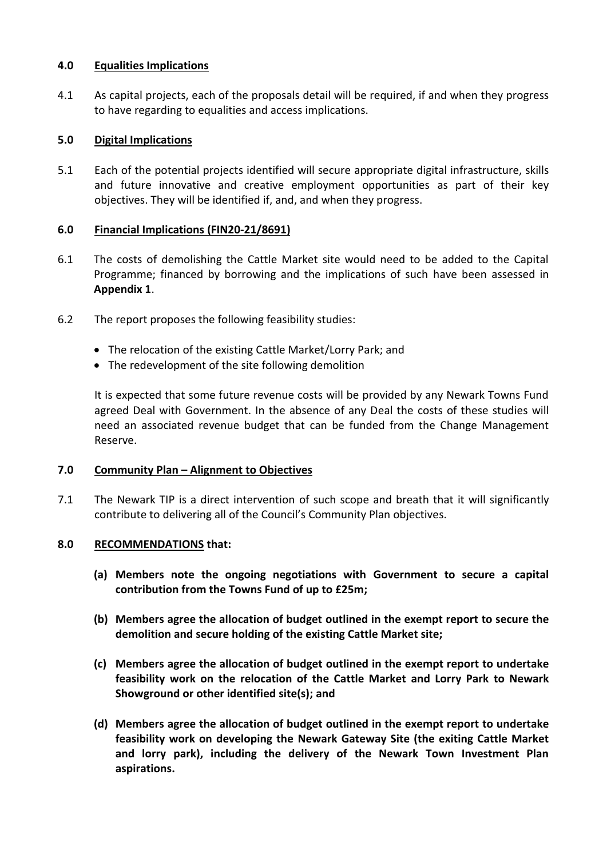# **4.0 Equalities Implications**

4.1 As capital projects, each of the proposals detail will be required, if and when they progress to have regarding to equalities and access implications.

# **5.0 Digital Implications**

5.1 Each of the potential projects identified will secure appropriate digital infrastructure, skills and future innovative and creative employment opportunities as part of their key objectives. They will be identified if, and, and when they progress.

# **6.0 Financial Implications (FIN20-21/8691)**

- 6.1 The costs of demolishing the Cattle Market site would need to be added to the Capital Programme; financed by borrowing and the implications of such have been assessed in **Appendix 1**.
- 6.2 The report proposes the following feasibility studies:
	- The relocation of the existing Cattle Market/Lorry Park; and
	- The redevelopment of the site following demolition

It is expected that some future revenue costs will be provided by any Newark Towns Fund agreed Deal with Government. In the absence of any Deal the costs of these studies will need an associated revenue budget that can be funded from the Change Management Reserve.

# **7.0 Community Plan – Alignment to Objectives**

7.1 The Newark TIP is a direct intervention of such scope and breath that it will significantly contribute to delivering all of the Council's Community Plan objectives.

#### **8.0 RECOMMENDATIONS that:**

- **(a) Members note the ongoing negotiations with Government to secure a capital contribution from the Towns Fund of up to £25m;**
- **(b) Members agree the allocation of budget outlined in the exempt report to secure the demolition and secure holding of the existing Cattle Market site;**
- **(c) Members agree the allocation of budget outlined in the exempt report to undertake feasibility work on the relocation of the Cattle Market and Lorry Park to Newark Showground or other identified site(s); and**
- **(d) Members agree the allocation of budget outlined in the exempt report to undertake feasibility work on developing the Newark Gateway Site (the exiting Cattle Market and lorry park), including the delivery of the Newark Town Investment Plan aspirations.**